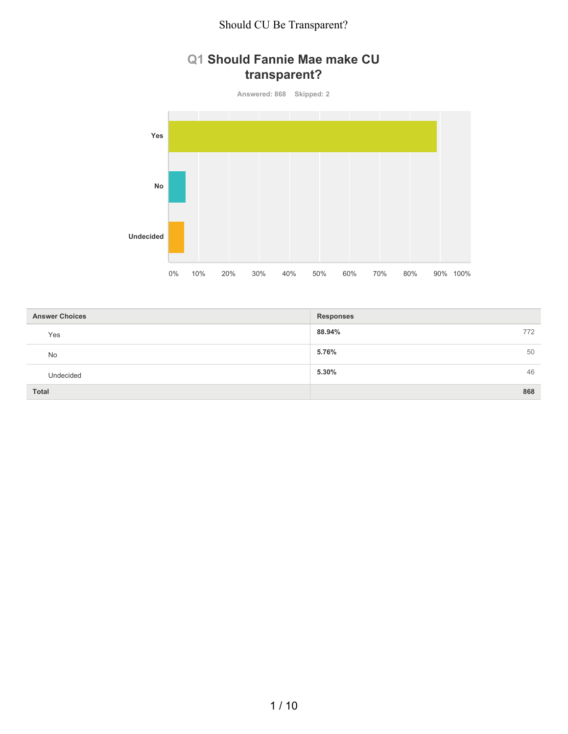# **Q1 Should Fannie Mae make CU transparent?**

**Answered: 868 Skipped: 2**



| <b>Answer Choices</b> | <b>Responses</b> |
|-----------------------|------------------|
| Yes                   | 88.94%<br>772    |
| No                    | 5.76%<br>50      |
| Undecided             | 5.30%<br>46      |
| <b>Total</b>          | 868              |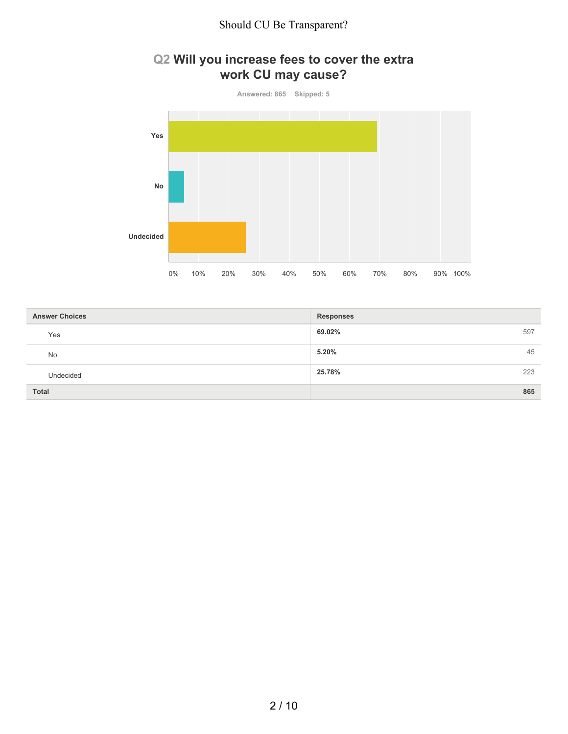## **Q2 Will you increase fees to cover the extra work CU may cause?**



| <b>Answer Choices</b> | <b>Responses</b> |
|-----------------------|------------------|
| Yes                   | 69.02%<br>597    |
| No                    | 5.20%<br>45      |
| Undecided             | 25.78%<br>223    |
| <b>Total</b>          | 865              |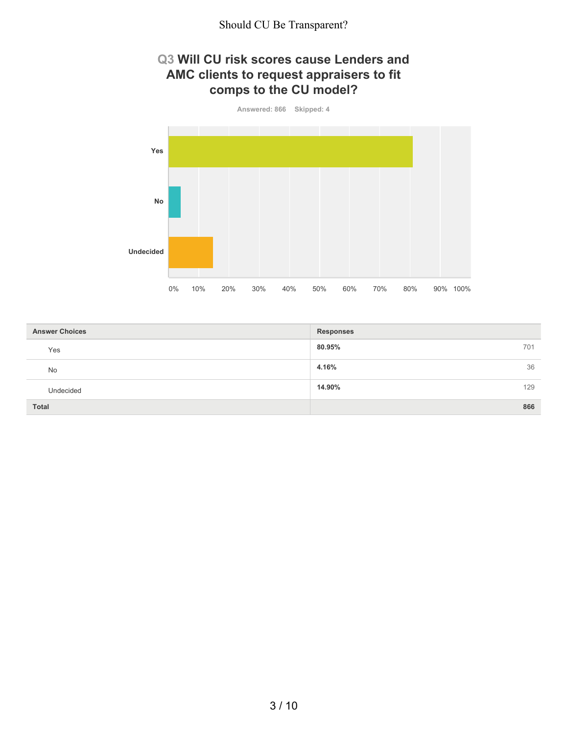#### **Q3 Will CU risk scores cause Lenders and AMC clients to request appraisers to fit comps to the CU model?**



| <b>Answer Choices</b> | <b>Responses</b> |
|-----------------------|------------------|
| Yes                   | 80.95%<br>701    |
| <b>No</b>             | 36<br>4.16%      |
| Undecided             | 14.90%<br>129    |
| Total                 | 866              |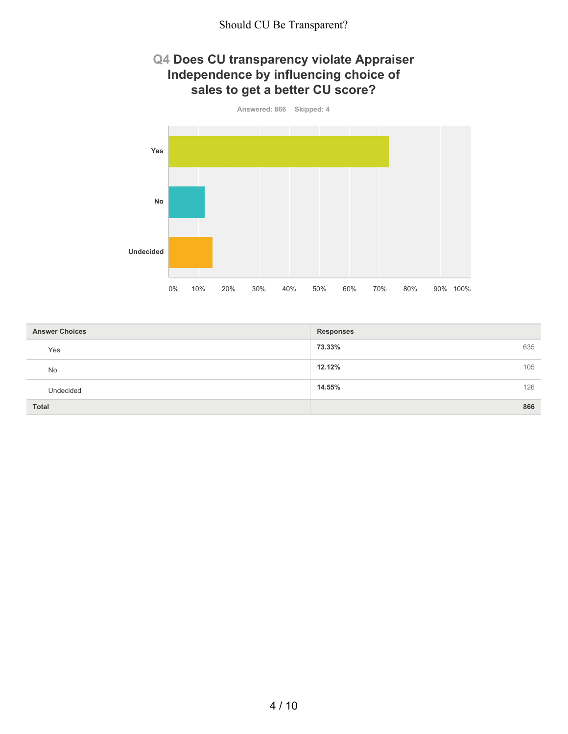### **Q4 Does CU transparency violate Appraiser Independence by influencing choice of sales to get a better CU score?**



| <b>Answer Choices</b> | <b>Responses</b> |
|-----------------------|------------------|
| Yes                   | 73.33%<br>635    |
| No                    | 12.12%<br>105    |
| Undecided             | 14.55%<br>126    |
| Total                 | 866              |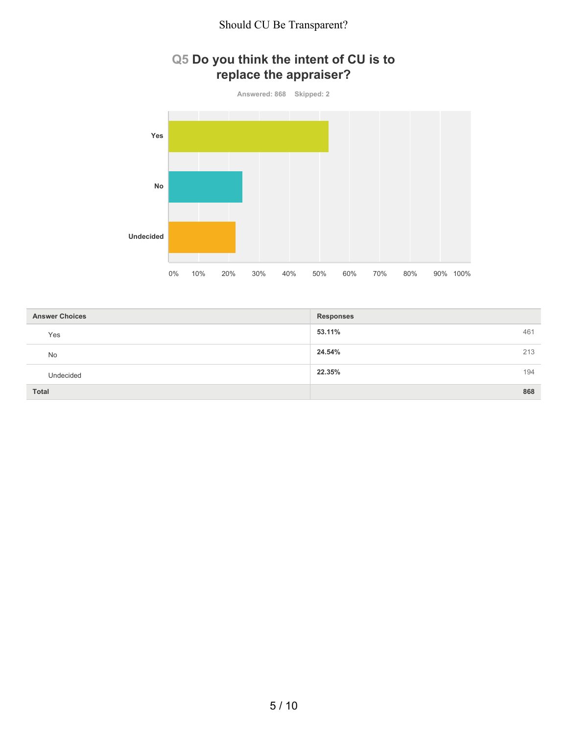## **Q5 Do you think the intent of CU is to replace the appraiser?**



| <b>Answer Choices</b> | <b>Responses</b> |
|-----------------------|------------------|
| Yes                   | 53.11%<br>461    |
| No                    | 24.54%<br>213    |
| Undecided             | 22.35%<br>194    |
| <b>Total</b>          | 868              |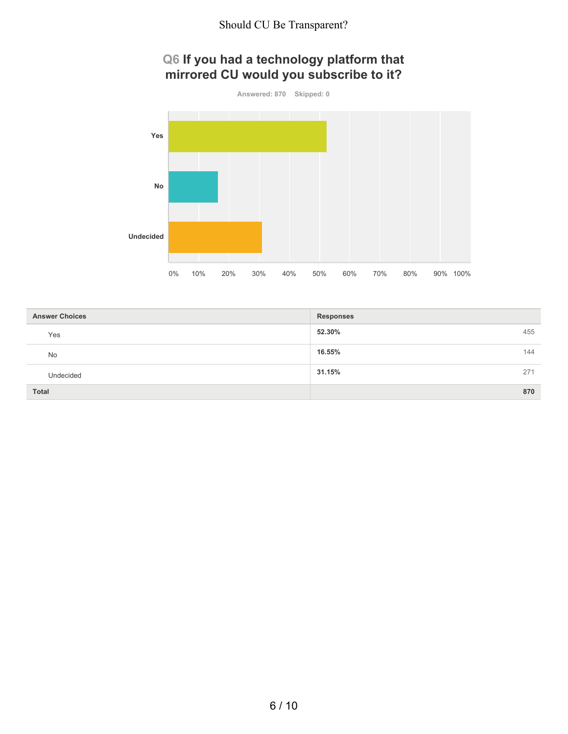# **Q6 If you had a technology platform that mirrored CU would you subscribe to it?**



| <b>Answer Choices</b> | <b>Responses</b> |
|-----------------------|------------------|
| Yes                   | 52.30%<br>455    |
| <b>No</b>             | 16.55%<br>144    |
| Undecided             | 31.15%<br>271    |
| <b>Total</b>          | 870              |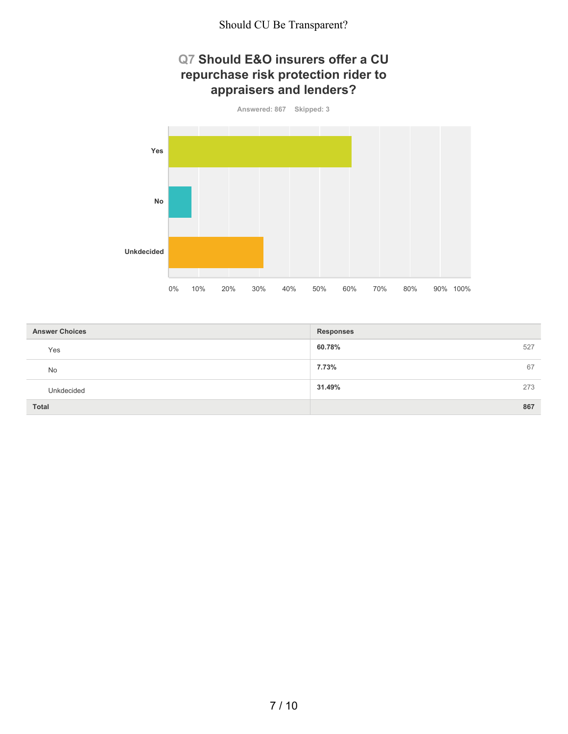### **Q7 Should E&O insurers offer a CU repurchase risk protection rider to appraisers and lenders?**



| <b>Answer Choices</b> | <b>Responses</b> |
|-----------------------|------------------|
| Yes                   | 60.78%<br>527    |
| No                    | 7.73%<br>67      |
| Unkdecided            | 31.49%<br>273    |
| Total                 | 867              |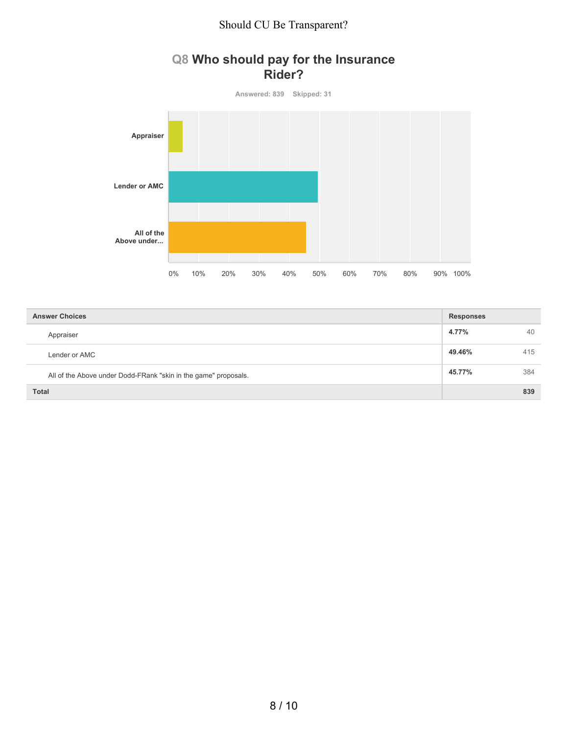### **Q8 Who should pay for the Insurance Rider?**



| <b>Answer Choices</b>                                           | <b>Responses</b> |     |
|-----------------------------------------------------------------|------------------|-----|
| Appraiser                                                       | 4.77%            | 40  |
| Lender or AMC                                                   | 49.46%           | 415 |
| All of the Above under Dodd-FRank "skin in the game" proposals. | 45.77%           | 384 |
| <b>Total</b>                                                    |                  | 839 |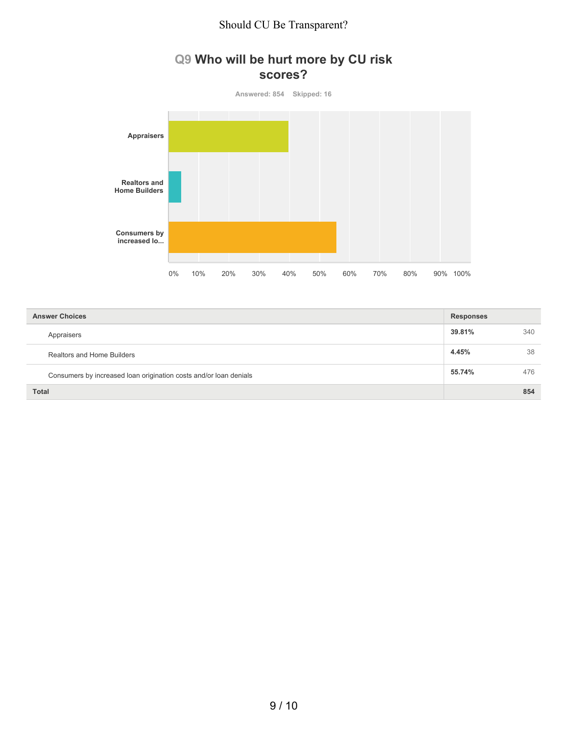### **Q9 Who will be hurt more by CU risk scores?**



| <b>Answer Choices</b>                                             | <b>Responses</b> |     |
|-------------------------------------------------------------------|------------------|-----|
| Appraisers                                                        | 39.81%           | 340 |
| Realtors and Home Builders                                        | 4.45%            | 38  |
| Consumers by increased loan origination costs and/or loan denials | 55.74%           | 476 |
| <b>Total</b>                                                      |                  | 854 |